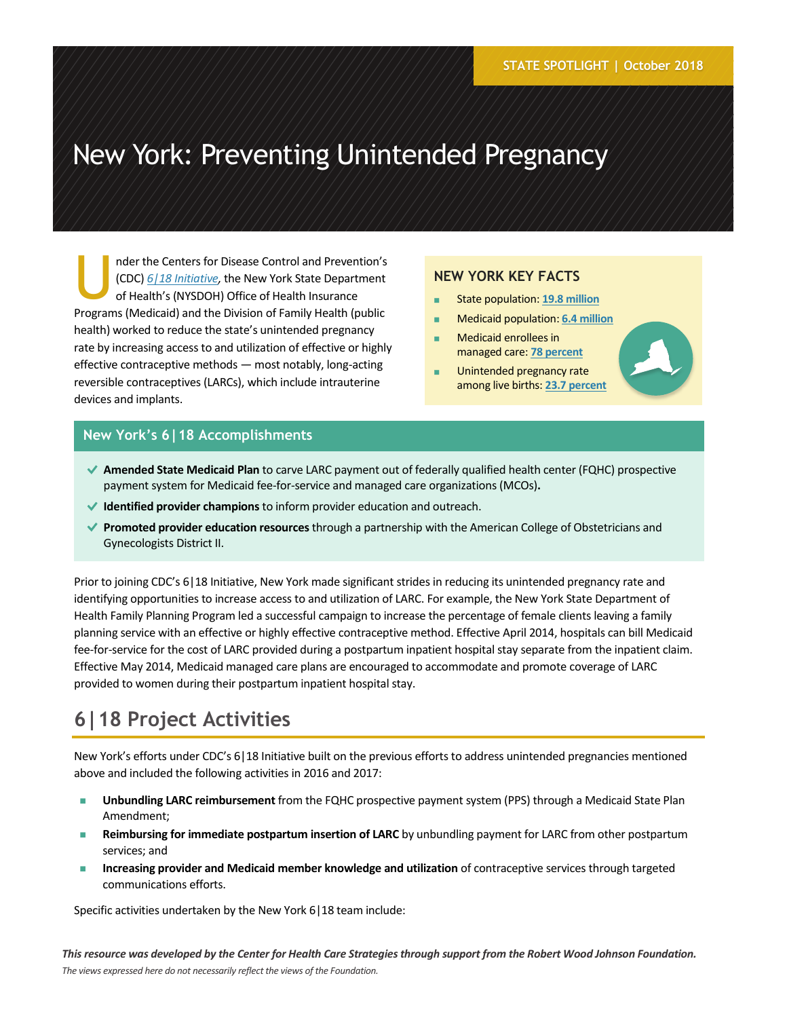# New York: Preventing Unintended Pregnancy

nder the Centers for Disease Control and Prevention's (CDC) *[6|18 Initiative,](http://www.cdc.gov/sixeighteen/)* the New York State Department of Health's (NYSDOH) Office of Health Insurance Programs (Medicaid) and the Division of Family Health (public health) worked to reduce the state's unintended pregnancy rate by increasing access to and utilization of effective or highly effective contraceptive methods — most notably, long-acting reversible contraceptives (LARCs), which include intrauterine devices and implants. U

#### **NEW YORK KEY FACTS**

- State population: **19.8 [million](https://www.census.gov/quickfacts/fact/table/ny/)**
- **Medicaid population: [6.4 million](https://www.kff.org/health-reform/state-indicator/total-monthly-medicaid-and-chip-enrollment/)**
- **Medicaid enrollees in** managed care: **78 [percent](https://www.health.ny.gov/health_care/managed_care/reports/docs/executive_summary/executive_summary.pdf)**
- **Unintended pregnancy rate** among live births: **23.7 [percent](https://webbi1.health.ny.gov/SASStoredProcess/guest?_program=/EBI/PHIG/apps/dashboard/pa_dashboard&p=sh)**



#### **New York's 6|18 Accomplishments**

- **Amended State Medicaid Plan** to carve LARC payment out of federally qualified health center (FQHC) prospective payment system for Medicaid fee-for-service and managed care organizations (MCOs)**.**
- **Identified provider champions** to inform provider education and outreach.
- **Promoted provider education resources** through a partnership with the American College of Obstetricians and Gynecologists District II.

Prior to joining CDC's 6|18 Initiative, New York made significant strides in reducing its unintended pregnancy rate and identifying opportunities to increase access to and utilization of LARC. For example, the New York State Department of Health Family Planning Program led a successful campaign to increase the percentage of female clients leaving a family planning service with an effective or highly effective contraceptive method. Effective April 2014, hospitals can bill Medicaid fee-for-service for the cost of LARC provided during a postpartum inpatient hospital stay separate from the inpatient claim. Effective May 2014, Medicaid managed care plans are encouraged to accommodate and promote coverage of LARC provided to women during their postpartum inpatient hospital stay.

# **6|18 Project Activities**

New York's efforts under CDC's 6|18 Initiative built on the previous efforts to address unintended pregnancies mentioned above and included the following activities in 2016 and 2017:

- **Unbundling LARC reimbursement** from the FQHC prospective payment system (PPS) through a Medicaid State Plan Amendment;
- **Reimbursing for immediate postpartum insertion of LARC** by unbundling payment for LARC from other postpartum services; and
- **Increasing provider and Medicaid member knowledge and utilization** of contraceptive services through targeted communications efforts.

Specific activities undertaken by the New York 6|18 team include: